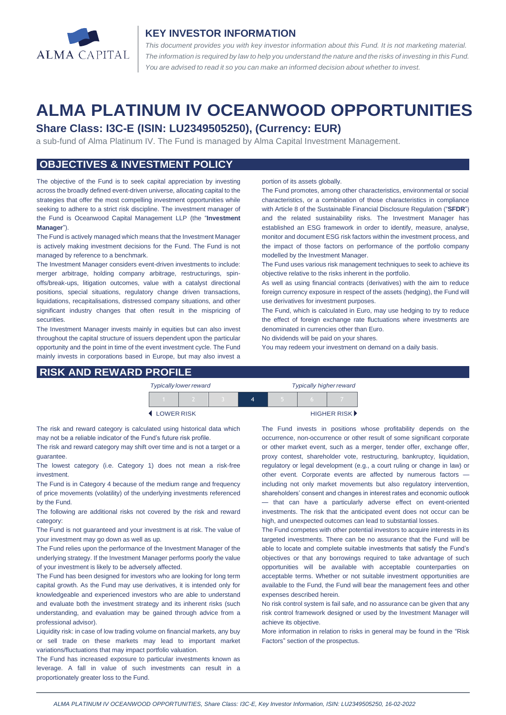

### **KEY INVESTOR INFORMATION**

*This document provides you with key investor information about this Fund. It is not marketing material.*  The information is required by law to help you understand the nature and the risks of investing in this Fund. *You are advised to read it so you can make an informed decision about whether to invest.*

# **ALMA PLATINUM IV OCEANWOOD OPPORTUNITIES**

## **Share Class: I3C-E (ISIN: LU2349505250), (Currency: EUR)**

a sub-fund of Alma Platinum IV. The Fund is managed by Alma Capital Investment Management.

#### **OBJECTIVES & INVESTMENT POLICY**

The objective of the Fund is to seek capital appreciation by investing across the broadly defined event-driven universe, allocating capital to the strategies that offer the most compelling investment opportunities while seeking to adhere to a strict risk discipline. The investment manager of the Fund is Oceanwood Capital Management LLP (the "**Investment Manager**").

The Fund is actively managed which means that the Investment Manager is actively making investment decisions for the Fund. The Fund is not managed by reference to a benchmark.

The Investment Manager considers event-driven investments to include: merger arbitrage, holding company arbitrage, restructurings, spinoffs/break-ups, litigation outcomes, value with a catalyst directional positions, special situations, regulatory change driven transactions, liquidations, recapitalisations, distressed company situations, and other significant industry changes that often result in the mispricing of securities.

The Investment Manager invests mainly in equities but can also invest throughout the capital structure of issuers dependent upon the particular opportunity and the point in time of the event investment cycle. The Fund mainly invests in corporations based in Europe, but may also invest a

#### **RISK AND REWARD PROFILE**

#### portion of its assets globally.

The Fund promotes, among other characteristics, environmental or social characteristics, or a combination of those characteristics in compliance with Article 8 of the Sustainable Financial Disclosure Regulation ("**SFDR**") and the related sustainability risks. The Investment Manager has established an ESG framework in order to identify, measure, analyse, monitor and document ESG risk factors within the investment process, and the impact of those factors on performance of the portfolio company modelled by the Investment Manager.

The Fund uses various risk management techniques to seek to achieve its objective relative to the risks inherent in the portfolio.

As well as using financial contracts (derivatives) with the aim to reduce foreign currency exposure in respect of the assets (hedging), the Fund will use derivatives for investment purposes.

The Fund, which is calculated in Euro, may use hedging to try to reduce the effect of foreign exchange rate fluctuations where investments are denominated in currencies other than Euro.

No dividends will be paid on your shares.

You may redeem your investment on demand on a daily basis.

|                     | <b>Typically lower reward</b> |  | <b>Typically higher reward</b> |  |                             |  |
|---------------------|-------------------------------|--|--------------------------------|--|-----------------------------|--|
|                     |                               |  |                                |  |                             |  |
| <b>4 LOWER RISK</b> |                               |  |                                |  | HIGHER RISK <sup>&gt;</sup> |  |

The risk and reward category is calculated using historical data which may not be a reliable indicator of the Fund's future risk profile.

The risk and reward category may shift over time and is not a target or a guarantee.

The lowest category (i.e. Category 1) does not mean a risk-free investment.

The Fund is in Category 4 because of the medium range and frequency of price movements (volatility) of the underlying investments referenced by the Fund.

The following are additional risks not covered by the risk and reward category:

The Fund is not guaranteed and your investment is at risk. The value of your investment may go down as well as up.

The Fund relies upon the performance of the Investment Manager of the underlying strategy. If the Investment Manager performs poorly the value of your investment is likely to be adversely affected.

The Fund has been designed for investors who are looking for long term capital growth. As the Fund may use derivatives, it is intended only for knowledgeable and experienced investors who are able to understand and evaluate both the investment strategy and its inherent risks (such understanding, and evaluation may be gained through advice from a professional advisor).

Liquidity risk: in case of low trading volume on financial markets, any buy or sell trade on these markets may lead to important market variations/fluctuations that may impact portfolio valuation.

The Fund has increased exposure to particular investments known as leverage. A fall in value of such investments can result in a proportionately greater loss to the Fund.

The Fund invests in positions whose profitability depends on the occurrence, non-occurrence or other result of some significant corporate or other market event, such as a merger, tender offer, exchange offer, proxy contest, shareholder vote, restructuring, bankruptcy, liquidation, regulatory or legal development (e.g., a court ruling or change in law) or other event. Corporate events are affected by numerous factors including not only market movements but also regulatory intervention, shareholders' consent and changes in interest rates and economic outlook — that can have a particularly adverse effect on event-oriented investments. The risk that the anticipated event does not occur can be high, and unexpected outcomes can lead to substantial losses.

The Fund competes with other potential investors to acquire interests in its targeted investments. There can be no assurance that the Fund will be able to locate and complete suitable investments that satisfy the Fund's objectives or that any borrowings required to take advantage of such opportunities will be available with acceptable counterparties on acceptable terms. Whether or not suitable investment opportunities are available to the Fund, the Fund will bear the management fees and other expenses described herein.

No risk control system is fail safe, and no assurance can be given that any risk control framework designed or used by the Investment Manager will achieve its objective.

More information in relation to risks in general may be found in the "Risk Factors" section of the prospectus.